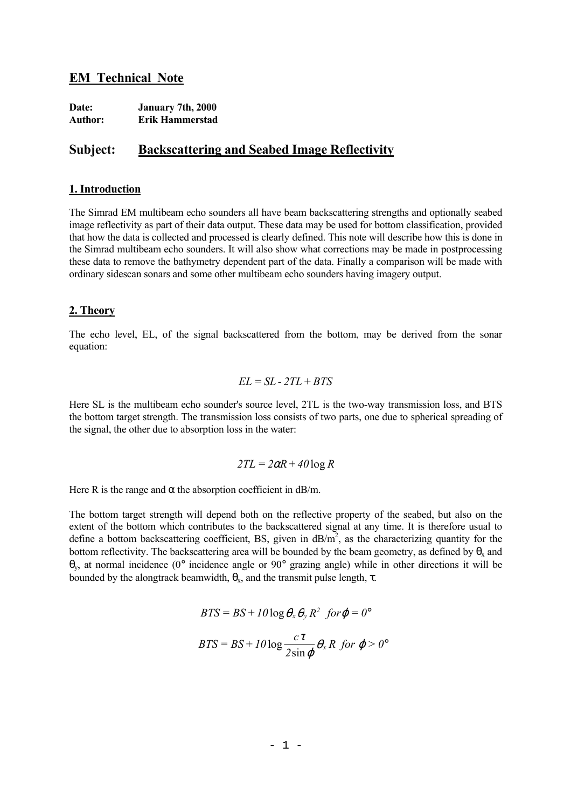## **EM Technical Note**

| Date:          | January 7th, 2000 |
|----------------|-------------------|
| <b>Author:</b> | Erik Hammerstad   |

# **Subject: Backscattering and Seabed Image Reflectivity**

#### **1. Introduction**

The Simrad EM multibeam echo sounders all have beam backscattering strengths and optionally seabed image reflectivity as part of their data output. These data may be used for bottom classification, provided that how the data is collected and processed is clearly defined. This note will describe how this is done in the Simrad multibeam echo sounders. It will also show what corrections may be made in postprocessing these data to remove the bathymetry dependent part of the data. Finally a comparison will be made with ordinary sidescan sonars and some other multibeam echo sounders having imagery output.

#### **2. Theory**

The echo level, EL, of the signal backscattered from the bottom, may be derived from the sonar equation:

$$
EL = SL - 2TL + BTS
$$

Here SL is the multibeam echo sounder's source level, 2TL is the two-way transmission loss, and BTS the bottom target strength. The transmission loss consists of two parts, one due to spherical spreading of the signal, the other due to absorption loss in the water:

$$
2TL = 2\alpha R + 40\log R
$$

Here R is the range and  $\alpha$  the absorption coefficient in dB/m.

The bottom target strength will depend both on the reflective property of the seabed, but also on the extent of the bottom which contributes to the backscattered signal at any time. It is therefore usual to define a bottom backscattering coefficient, BS, given in  $dB/m^2$ , as the characterizing quantity for the bottom reflectivity. The backscattering area will be bounded by the beam geometry, as defined by  $\theta_x$  and θy, at normal incidence (0° incidence angle or 90° grazing angle) while in other directions it will be bounded by the alongtrack beamwidth,  $\theta_{x}$ , and the transmit pulse length,  $\tau$ .

$$
BTS = BS + I0 \log \theta_x \theta_y R^2 \ \ \text{for} \ \varphi = 0^\circ
$$

$$
BTS = BS + I0 \log \frac{c\tau}{2\sin \varphi} \theta_x R \ \text{for} \ \varphi > 0^{\circ}
$$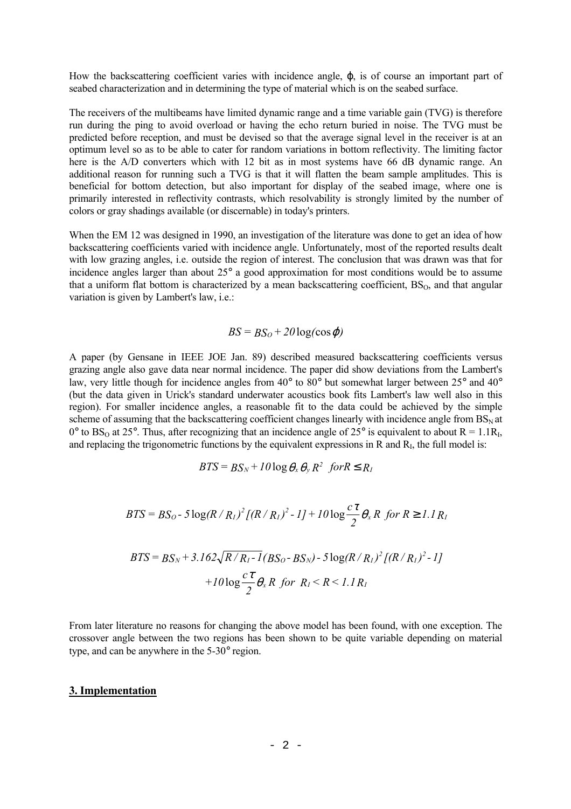How the backscattering coefficient varies with incidence angle,  $\varphi$ , is of course an important part of seabed characterization and in determining the type of material which is on the seabed surface.

The receivers of the multibeams have limited dynamic range and a time variable gain (TVG) is therefore run during the ping to avoid overload or having the echo return buried in noise. The TVG must be predicted before reception, and must be devised so that the average signal level in the receiver is at an optimum level so as to be able to cater for random variations in bottom reflectivity. The limiting factor here is the A/D converters which with 12 bit as in most systems have 66 dB dynamic range. An additional reason for running such a TVG is that it will flatten the beam sample amplitudes. This is beneficial for bottom detection, but also important for display of the seabed image, where one is primarily interested in reflectivity contrasts, which resolvability is strongly limited by the number of colors or gray shadings available (or discernable) in today's printers.

When the EM 12 was designed in 1990, an investigation of the literature was done to get an idea of how backscattering coefficients varied with incidence angle. Unfortunately, most of the reported results dealt with low grazing angles, i.e. outside the region of interest. The conclusion that was drawn was that for incidence angles larger than about 25° a good approximation for most conditions would be to assume that a uniform flat bottom is characterized by a mean backscattering coefficient,  $BS<sub>0</sub>$ , and that angular variation is given by Lambert's law, i.e.:

### $BS = BS_0 + 20 \log(\cos \varphi)$

A paper (by Gensane in IEEE JOE Jan. 89) described measured backscattering coefficients versus grazing angle also gave data near normal incidence. The paper did show deviations from the Lambert's law, very little though for incidence angles from 40° to 80° but somewhat larger between 25° and 40° (but the data given in Urick's standard underwater acoustics book fits Lambert's law well also in this region). For smaller incidence angles, a reasonable fit to the data could be achieved by the simple scheme of assuming that the backscattering coefficient changes linearly with incidence angle from  $BS<sub>N</sub>$  at 0° to BS<sub>O</sub> at 25°. Thus, after recognizing that an incidence angle of 25° is equivalent to about R = 1.1R<sub>I</sub>, and replacing the trigonometric functions by the equivalent expressions in  $\overline{R}$  and  $\overline{R}$ , the full model is:

$$
BTS = BS_N + I0 \log \theta_x \theta_y R^2 \text{ for } R \le R_I
$$

$$
BTS = BS_O - 5\log(R/R_I)^2 [(R/R_I)^2 - I] + 10\log \frac{c\tau}{2} \theta_x R \text{ for } R \ge 1.1 R_I
$$
  

$$
BTS = BS_N + 3.162\sqrt{R/R_I - I}(BS_O - BS_N) - 5\log(R/R_I)^2 [(R/R_I)^2 - I] + 10\log \frac{c\tau}{2} \theta_x R \text{ for } R_I \le R \le 1.1 R_I
$$

From later literature no reasons for changing the above model has been found, with one exception. The crossover angle between the two regions has been shown to be quite variable depending on material type, and can be anywhere in the 5-30° region.

#### **3. Implementation**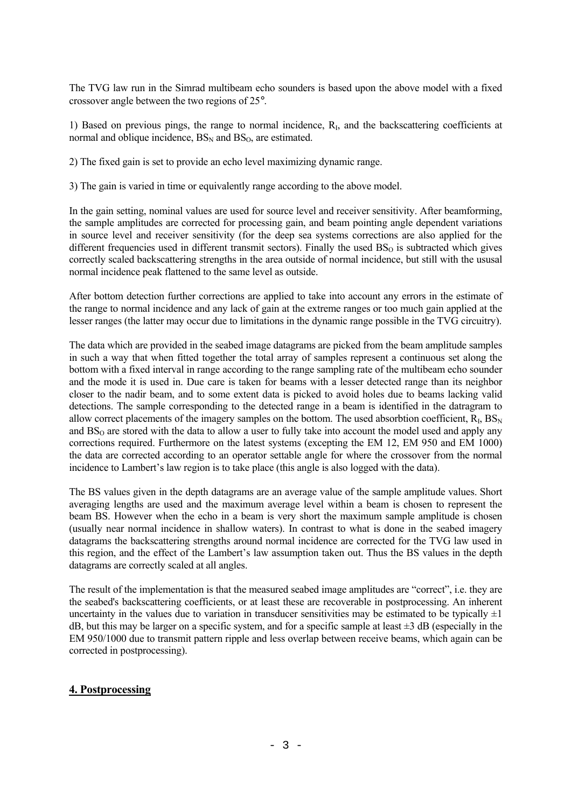The TVG law run in the Simrad multibeam echo sounders is based upon the above model with a fixed crossover angle between the two regions of 25°.

1) Based on previous pings, the range to normal incidence, RI, and the backscattering coefficients at normal and oblique incidence,  $BS_N$  and  $BS_O$ , are estimated.

2) The fixed gain is set to provide an echo level maximizing dynamic range.

3) The gain is varied in time or equivalently range according to the above model.

In the gain setting, nominal values are used for source level and receiver sensitivity. After beamforming, the sample amplitudes are corrected for processing gain, and beam pointing angle dependent variations in source level and receiver sensitivity (for the deep sea systems corrections are also applied for the different frequencies used in different transmit sectors). Finally the used  $BS<sub>0</sub>$  is subtracted which gives correctly scaled backscattering strengths in the area outside of normal incidence, but still with the ususal normal incidence peak flattened to the same level as outside.

After bottom detection further corrections are applied to take into account any errors in the estimate of the range to normal incidence and any lack of gain at the extreme ranges or too much gain applied at the lesser ranges (the latter may occur due to limitations in the dynamic range possible in the TVG circuitry).

The data which are provided in the seabed image datagrams are picked from the beam amplitude samples in such a way that when fitted together the total array of samples represent a continuous set along the bottom with a fixed interval in range according to the range sampling rate of the multibeam echo sounder and the mode it is used in. Due care is taken for beams with a lesser detected range than its neighbor closer to the nadir beam, and to some extent data is picked to avoid holes due to beams lacking valid detections. The sample corresponding to the detected range in a beam is identified in the datragram to allow correct placements of the imagery samples on the bottom. The used absorbtion coefficient,  $R_I$ ,  $BS_N$ and  $BS<sub>0</sub>$  are stored with the data to allow a user to fully take into account the model used and apply any corrections required. Furthermore on the latest systems (excepting the EM 12, EM 950 and EM 1000) the data are corrected according to an operator settable angle for where the crossover from the normal incidence to Lambert's law region is to take place (this angle is also logged with the data).

The BS values given in the depth datagrams are an average value of the sample amplitude values. Short averaging lengths are used and the maximum average level within a beam is chosen to represent the beam BS. However when the echo in a beam is very short the maximum sample amplitude is chosen (usually near normal incidence in shallow waters). In contrast to what is done in the seabed imagery datagrams the backscattering strengths around normal incidence are corrected for the TVG law used in this region, and the effect of the Lambert's law assumption taken out. Thus the BS values in the depth datagrams are correctly scaled at all angles.

The result of the implementation is that the measured seabed image amplitudes are "correct", i.e. they are the seabed's backscattering coefficients, or at least these are recoverable in postprocessing. An inherent uncertainty in the values due to variation in transducer sensitivities may be estimated to be typically  $\pm 1$ dB, but this may be larger on a specific system, and for a specific sample at least  $\pm 3$  dB (especially in the EM 950/1000 due to transmit pattern ripple and less overlap between receive beams, which again can be corrected in postprocessing).

### **4. Postprocessing**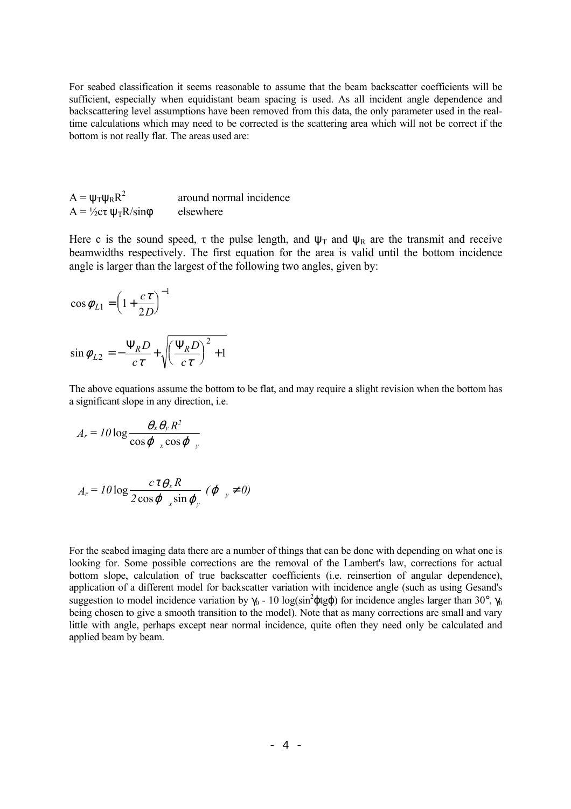For seabed classification it seems reasonable to assume that the beam backscatter coefficients will be sufficient, especially when equidistant beam spacing is used. As all incident angle dependence and backscattering level assumptions have been removed from this data, the only parameter used in the realtime calculations which may need to be corrected is the scattering area which will not be correct if the bottom is not really flat. The areas used are:

| $A = \psi_T \psi_R R^2$                  | around normal incidence |
|------------------------------------------|-------------------------|
| $A = \frac{1}{2}c\tau \psi_T R/\sin\phi$ | elsewhere               |

Here c is the sound speed,  $\tau$  the pulse length, and  $\Psi_T$  and  $\Psi_R$  are the transmit and receive beamwidths respectively. The first equation for the area is valid until the bottom incidence angle is larger than the largest of the following two angles, given by:

$$
\cos \phi_{L1} = \left(1 + \frac{c\tau}{2D}\right)^{-1}
$$

$$
\sin \phi_{L2} = -\frac{\Psi_R D}{c\tau} + \sqrt{\left(\frac{\Psi_R D}{c\tau}\right)^2 + 1}
$$

The above equations assume the bottom to be flat, and may require a slight revision when the bottom has a significant slope in any direction, i.e.

$$
A_r = I0\log\frac{\theta_x\theta_y R^2}{\cos\varphi_x\cos\varphi_y}
$$

$$
A_r = 10 \log \frac{c \tau \theta_x R}{2 \cos \varphi_{x} \sin \varphi_{y}} (\varphi_{y} \neq 0)
$$

For the seabed imaging data there are a number of things that can be done with depending on what one is looking for. Some possible corrections are the removal of the Lambert's law, corrections for actual bottom slope, calculation of true backscatter coefficients (i.e. reinsertion of angular dependence), application of a different model for backscatter variation with incidence angle (such as using Gesand's suggestion to model incidence variation by  $\gamma_0$  - 10 log(sin<sup>2</sup> $\phi$ tg $\phi$ ) for incidence angles larger than 30°,  $\gamma_0$ being chosen to give a smooth transition to the model). Note that as many corrections are small and vary little with angle, perhaps except near normal incidence, quite often they need only be calculated and applied beam by beam.